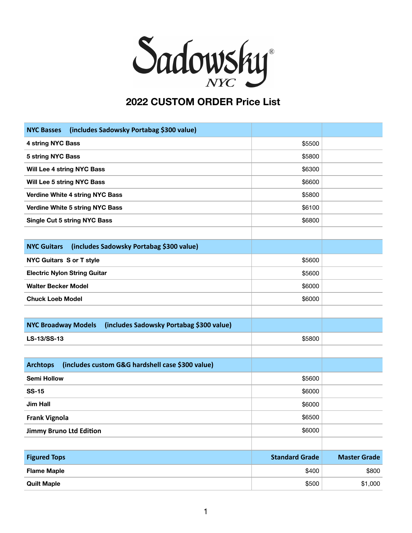

## **2022 CUSTOM ORDER Price List**

| (includes Sadowsky Portabag \$300 value)<br><b>NYC Basses</b>          |                       |                     |
|------------------------------------------------------------------------|-----------------------|---------------------|
| 4 string NYC Bass                                                      | \$5500                |                     |
| 5 string NYC Bass                                                      | \$5800                |                     |
| Will Lee 4 string NYC Bass                                             | \$6300                |                     |
| Will Lee 5 string NYC Bass                                             | \$6600                |                     |
| Verdine White 4 string NYC Bass                                        | \$5800                |                     |
| <b>Verdine White 5 string NYC Bass</b>                                 | \$6100                |                     |
| <b>Single Cut 5 string NYC Bass</b>                                    | \$6800                |                     |
|                                                                        |                       |                     |
| (includes Sadowsky Portabag \$300 value)<br><b>NYC Guitars</b>         |                       |                     |
| <b>NYC Guitars S or T style</b>                                        | \$5600                |                     |
| <b>Electric Nylon String Guitar</b>                                    | \$5600                |                     |
| <b>Walter Becker Model</b>                                             | \$6000                |                     |
| <b>Chuck Loeb Model</b>                                                | \$6000                |                     |
|                                                                        |                       |                     |
| (includes Sadowsky Portabag \$300 value)<br><b>NYC Broadway Models</b> |                       |                     |
| LS-13/SS-13                                                            | \$5800                |                     |
|                                                                        |                       |                     |
| (includes custom G&G hardshell case \$300 value)<br><b>Archtops</b>    |                       |                     |
| <b>Semi Hollow</b>                                                     | \$5600                |                     |
| <b>SS-15</b>                                                           | \$6000                |                     |
| <b>Jim Hall</b>                                                        | \$6000                |                     |
| <b>Frank Vignola</b>                                                   | \$6500                |                     |
| <b>Jimmy Bruno Ltd Edition</b>                                         | \$6000                |                     |
|                                                                        |                       |                     |
| <b>Figured Tops</b>                                                    | <b>Standard Grade</b> | <b>Master Grade</b> |
| <b>Flame Maple</b>                                                     | \$400                 | \$800               |
| <b>Quilt Maple</b>                                                     | \$500                 | \$1,000             |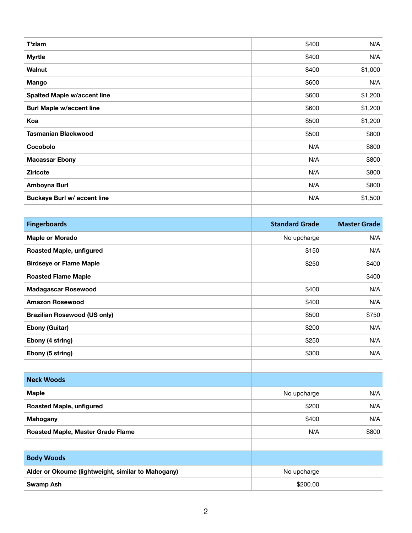| T'zlam                             | \$400 | N/A     |
|------------------------------------|-------|---------|
| <b>Myrtle</b>                      | \$400 | N/A     |
| Walnut                             | \$400 | \$1,000 |
| <b>Mango</b>                       | \$600 | N/A     |
| <b>Spalted Maple w/accent line</b> | \$600 | \$1,200 |
| <b>Burl Maple w/accent line</b>    | \$600 | \$1,200 |
| Koa                                | \$500 | \$1,200 |
| <b>Tasmanian Blackwood</b>         | \$500 | \$800   |
| Cocobolo                           | N/A   | \$800   |
| <b>Macassar Ebony</b>              | N/A   | \$800   |
| <b>Ziricote</b>                    | N/A   | \$800   |
| Amboyna Burl                       | N/A   | \$800   |
| <b>Buckeye Burl w/ accent line</b> | N/A   | \$1,500 |
|                                    |       |         |

| <b>Fingerboards</b>                                | <b>Standard Grade</b> | <b>Master Grade</b> |
|----------------------------------------------------|-----------------------|---------------------|
| <b>Maple or Morado</b>                             | No upcharge           | N/A                 |
| <b>Roasted Maple, unfigured</b>                    | \$150                 | N/A                 |
| <b>Birdseye or Flame Maple</b>                     | \$250                 | \$400               |
| <b>Roasted Flame Maple</b>                         |                       | \$400               |
| <b>Madagascar Rosewood</b>                         | \$400                 | N/A                 |
| <b>Amazon Rosewood</b>                             | \$400                 | N/A                 |
| <b>Brazilian Rosewood (US only)</b>                | \$500                 | \$750               |
| <b>Ebony (Guitar)</b>                              | \$200                 | N/A                 |
| Ebony (4 string)                                   | \$250                 | N/A                 |
| Ebony (5 string)                                   | \$300                 | N/A                 |
|                                                    |                       |                     |
| <b>Neck Woods</b>                                  |                       |                     |
| <b>Maple</b>                                       | No upcharge           | N/A                 |
| <b>Roasted Maple, unfigured</b>                    | \$200                 | N/A                 |
| <b>Mahogany</b>                                    | \$400                 | N/A                 |
| Roasted Maple, Master Grade Flame                  | N/A                   | \$800               |
|                                                    |                       |                     |
| <b>Body Woods</b>                                  |                       |                     |
| Alder or Okoume (lightweight, similar to Mahogany) | No upcharge           |                     |
| <b>Swamp Ash</b>                                   | \$200.00              |                     |